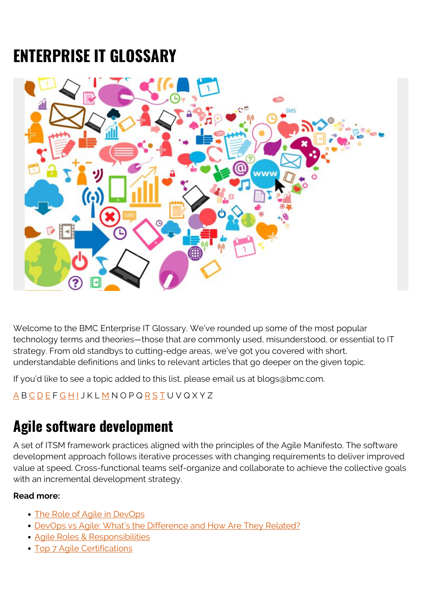## **ENTERPRISE IT GLOSSARY**



Welcome to the BMC Enterprise IT Glossary. We've rounded up some of the most popular technology terms and theories—those that are commonly used, misunderstood, or essential to IT strategy. From old standbys to cutting-edge areas, we've got you covered with short, understandable definitions and links to relevant articles that go deeper on the given topic.

If you'd like to see a topic added to this list, please email us at blogs@bmc.com.

[A](#page--1-0) B [C](#page--1-0) [D](#page--1-0) [E](#page--1-0) F [G](#page--1-0) [H](#page--1-0) [I](#page--1-0) J K L [M](#page--1-0) N O P Q [R](#page--1-0) [S](#page--1-0) [T](#page--1-0) U V Q X Y Z

### **Agile software development**

A set of ITSM framework practices aligned with the principles of the Agile Manifesto. The software development approach follows iterative processes with changing requirements to deliver improved value at speed. Cross-functional teams self-organize and collaborate to achieve the collective goals with an incremental development strategy.

- [The Role of Agile in DevOps](https://blogs.bmc.com/blogs/devops-agile/)
- [DevOps vs Agile: What's the Difference and How Are They Related?](https://blogs.bmc.com/blogs/devops-vs-agile-whats-the-difference-and-how-are-they-related/)
- [Agile Roles & Responsibilities](https://blogs.bmc.com/blogs/agile-roles-responsibilities/)
- [Top 7 Agile Certifications](https://blogs.bmc.com/blogs/agile-certifications/)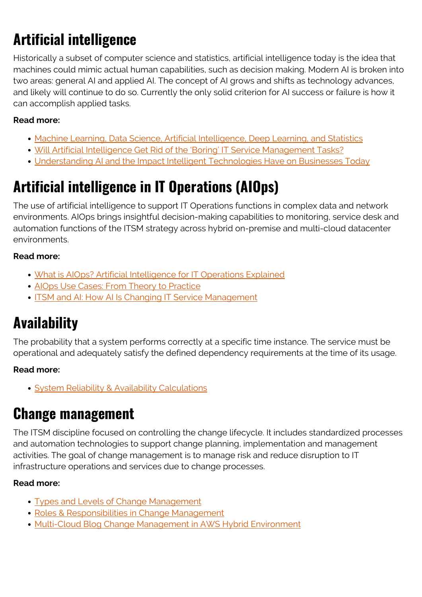# **Artificial intelligence**

Historically a subset of computer science and statistics, artificial intelligence today is the idea that machines could mimic actual human capabilities, such as decision making. Modern AI is broken into two areas: general AI and applied AI. The concept of AI grows and shifts as technology advances, and likely will continue to do so. Currently the only solid criterion for AI success or failure is how it can accomplish applied tasks.

### **Read more:**

- [Machine Learning, Data Science, Artificial Intelligence, Deep Learning, and Statistics](https://blogs.bmc.com/blogs/machine-learning-data-science-artificial-intelligence-deep-learning-and-statistics/)
- . [Will Artificial Intelligence Get Rid of the 'Boring' IT Service Management Tasks?](https://blogs.bmc.com/blogs/will-artificial-intelligence-get-rid-of-the-boring-it-service-management-tasks/)
- [Understanding AI and the Impact Intelligent Technologies Have on Businesses Today](https://blogs.bmc.com/blogs/understanding-ai-and-the-impact-intelligent-technologies-have-on-businesses-today/)

## **Artificial intelligence in IT Operations (AIOps)**

The use of artificial intelligence to support IT Operations functions in complex data and network environments. AIOps brings insightful decision-making capabilities to monitoring, service desk and automation functions of the ITSM strategy across hybrid on-premise and multi-cloud datacenter environments.

### **Read more:**

- [What is AIOps? Artificial Intelligence for IT Operations Explained](https://blogs.bmc.com/learn/what-is-aiops.html)
- [AIOps Use Cases: From Theory to Practice](https://blogs.bmc.com/blogs/aiops-use-cases-from-theory-to-practice/)
- **[ITSM and AI: How AI Is Changing IT Service Management](https://blogs.bmc.com/blogs/artificial-intelligence-itsm/)**

## **Availability**

The probability that a system performs correctly at a specific time instance. The service must be operational and adequately satisfy the defined dependency requirements at the time of its usage.

### **Read more:**

**• [System Reliability & Availability Calculations](https://blogs.bmc.com/blogs/system-reliability-availability-calculations/)** 

## **Change management**

The ITSM discipline focused on controlling the change lifecycle. It includes standardized processes and automation technologies to support change planning, implementation and management activities. The goal of change management is to manage risk and reduce disruption to IT infrastructure operations and services due to change processes.

- [Types and Levels of Change Management](https://blogs.bmc.com/blogs/types-levels-change-management/)
- [Roles & Responsibilities in Change Management](https://blogs.bmc.com/blogs/change-management-roles/)
- [Multi-Cloud Blog Change Management in AWS Hybrid Environment](https://blogs.bmc.com/blogs/aws-change-management/)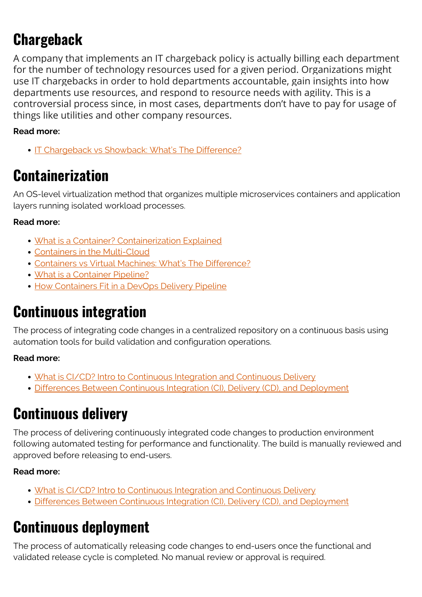## **Chargeback**

A company that implements an IT chargeback policy is actually billing each department for the number of technology resources used for a given period. Organizations might use IT chargebacks in order to hold departments accountable, gain insights into how departments use resources, and respond to resource needs with agility. This is a controversial process since, in most cases, departments don't have to pay for usage of things like utilities and other company resources.

### **Read more:**

**[IT Chargeback vs Showback: What's The Difference?](https://www.bmc.com/blogs/chargeback-vs-showback/)** 

## **Containerization**

An OS-level virtualization method that organizes multiple microservices containers and application layers running isolated workload processes.

### **Read more:**

- [What is a Container? Containerization Explained](https://blogs.bmc.com/blogs/what-is-a-container-containerization-explained/)
- [Containers in the Multi-Cloud](https://blogs.bmc.com/blogs/containers-multi-cloud/)
- [Containers vs Virtual Machines: What's The Difference?](https://blogs.bmc.com/blogs/containers-vs-virtual-machines/)
- [What is a Container Pipeline?](https://blogs.bmc.com/blogs/devops-container-pipeline/)
- [How Containers Fit in a DevOps Delivery Pipeline](https://blogs.bmc.com/blogs/devops-containers/)

## **Continuous integration**

The process of integrating code changes in a centralized repository on a continuous basis using automation tools for build validation and configuration operations.

### **Read more:**

- [What is CI/CD? Intro to Continuous Integration and Continuous Delivery](https://blogs.bmc.com/blogs/what-is-ci-cd/)
- [Differences Between Continuous Integration \(CI\), Delivery \(CD\), and Deployment](https://blogs.bmc.com/blogs/devops-continuous-integration-delivery-deployment/)

## **Continuous delivery**

The process of delivering continuously integrated code changes to production environment following automated testing for performance and functionality. The build is manually reviewed and approved before releasing to end-users.

### **Read more:**

- [What is CI/CD? Intro to Continuous Integration and Continuous Delivery](https://blogs.bmc.com/blogs/what-is-ci-cd/)
- [Differences Between Continuous Integration \(CI\), Delivery \(CD\), and Deployment](https://blogs.bmc.com/blogs/devops-continuous-integration-delivery-deployment/)

## **Continuous deployment**

The process of automatically releasing code changes to end-users once the functional and validated release cycle is completed. No manual review or approval is required.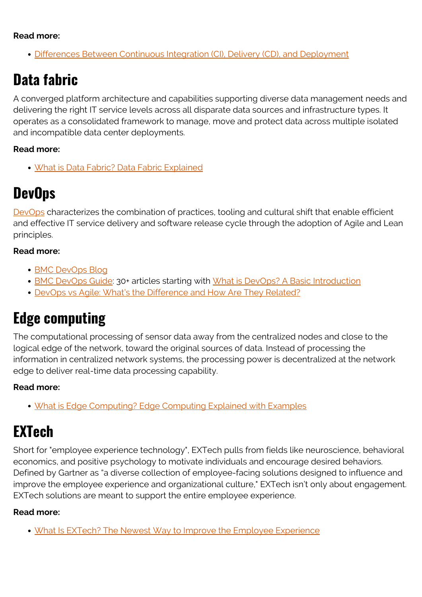### **Read more:**

[Differences Between Continuous Integration \(CI\), Delivery \(CD\), and Deployment](https://blogs.bmc.com/blogs/devops-continuous-integration-delivery-deployment/)

## **Data fabric**

A converged platform architecture and capabilities supporting diverse data management needs and delivering the right IT service levels across all disparate data sources and infrastructure types. It operates as a consolidated framework to manage, move and protect data across multiple isolated and incompatible data center deployments.

### **Read more:**

[What is Data Fabric? Data Fabric Explained](https://blogs.bmc.com/blogs/data-fabric/)

### **DevOps**

[DevOps](https://blogs.bmc.com/blogs/devops-basics-introduction/) characterizes the combination of practices, tooling and cultural shift that enable efficient and effective IT service delivery and software release cycle through the adoption of Agile and Lean principles.

### **Read more:**

- [BMC DevOps Blog](https://blogs.bmc.com/blogs/categories/devops/)
- [BMC DevOps Guide:](https://blogs.bmc.com/blogs/tags/devops/) 30+ articles starting with [What is DevOps? A Basic Introduction](https://blogs.bmc.com/blogs/devops-basics-introduction/)
- [DevOps vs Agile: What's the Difference and How Are They Related?](https://blogs.bmc.com/blogs/devops-vs-agile-whats-the-difference-and-how-are-they-related/)

## **Edge computing**

The computational processing of sensor data away from the centralized nodes and close to the logical edge of the network, toward the original sources of data. Instead of processing the information in centralized network systems, the processing power is decentralized at the network edge to deliver real-time data processing capability.

### **Read more:**

[What is Edge Computing? Edge Computing Explained with Examples](https://blogs.bmc.com/blogs/edge-computing/)

## **EXTech**

Short for "employee experience technology", EXTech pulls from fields like neuroscience, behavioral economics, and positive psychology to motivate individuals and encourage desired behaviors. Defined by Gartner as "a diverse collection of employee-facing solutions designed to influence and improve the employee experience and organizational culture," EXTech isn't only about engagement. EXTech solutions are meant to support the entire employee experience.

### **Read more:**

• [What Is EXTech? The Newest Way to Improve the Employee Experience](https://www.bmc.com/blogs/what-is-extech-the-newest-way-to-improve-the-employee-experience/)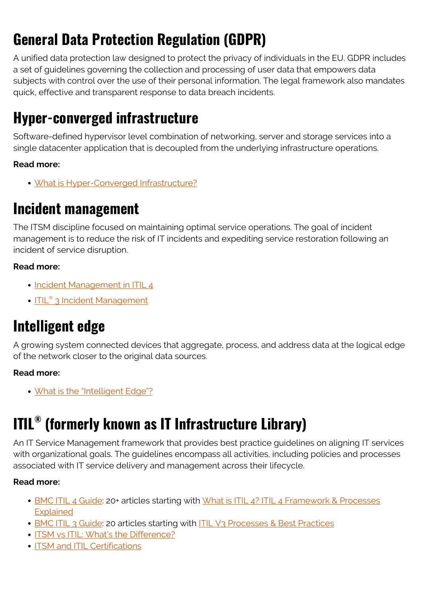## **General Data Protection Regulation (GDPR)**

A unified data protection law designed to protect the privacy of individuals in the EU. GDPR includes a set of guidelines governing the collection and processing of user data that empowers data subjects with control over the use of their personal information. The legal framework also mandates quick, effective and transparent response to data breach incidents.

## **Hyper-converged infrastructure**

Software-defined hypervisor level combination of networking, server and storage services into a single datacenter application that is decoupled from the underlying infrastructure operations.

### **Read more:**

[What is Hyper-Converged Infrastructure?](https://blogs.bmc.com/blogs/hyper-converged-infrastructure/)

## **Incident management**

The ITSM discipline focused on maintaining optimal service operations. The goal of incident management is to reduce the risk of IT incidents and expediting service restoration following an incident of service disruption.

### **Read more:**

- [Incident Management in ITIL 4](https://blogs.bmc.com/blogs/itil-incident-management/)
- **[ITIL](https://blogs.bmc.com/blogs/itil-v3-incident-management/)<sup>[®](https://blogs.bmc.com/blogs/itil-v3-incident-management/)</sup> [3 Incident Management](https://blogs.bmc.com/blogs/itil-v3-incident-management/)**

## **Intelligent edge**

A growing system connected devices that aggregate, process, and address data at the logical edge of the network closer to the original data sources.

### **Read more:**

• [What is the "Intelligent Edge"?](https://blogs.bmc.com/blogs/intelligent-edge/)

# **ITIL® (formerly known as IT Infrastructure Library)**

An IT Service Management framework that provides best practice guidelines on aligning IT services with organizational goals. The guidelines encompass all activities, including policies and processes associated with IT service delivery and management across their lifecycle.

- [BMC ITIL 4 Guide](https://blogs.bmc.com/blogs/tags/itil/): 20+ articles starting with [What is ITIL 4? ITIL 4 Framework & Processes](https://blogs.bmc.com/blogs/itil-4/) [Explained](https://blogs.bmc.com/blogs/itil-4/)
- [BMC ITIL 3 Guide](https://blogs.bmc.com/blogs/tags/itil-v3/): 20 articles starting with [ITIL V3 Processes & Best Practices](https://blogs.bmc.com/blogs/itil-v3-introduction/)
- [ITSM vs ITIL: What's the Difference?](https://blogs.bmc.com/blogs/itsm-or-itil-that-isnt-the-question/)
- [ITSM and ITIL Certifications](https://blogs.bmc.com/blogs/itsm-certifications/)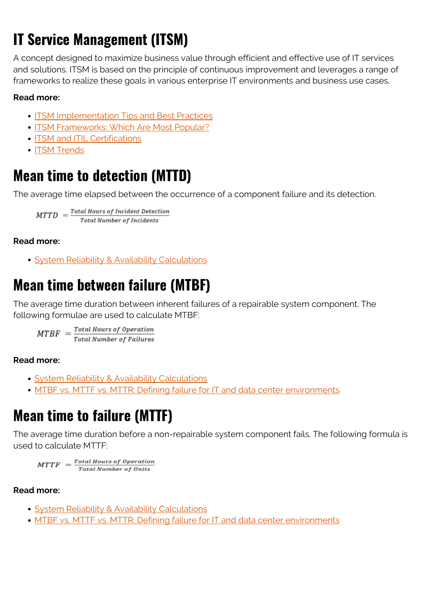# **IT Service Management (ITSM)**

A concept designed to maximize business value through efficient and effective use of IT services and solutions. ITSM is based on the principle of continuous improvement and leverages a range of frameworks to realize these goals in various enterprise IT environments and business use cases.

### **Read more:**

- [ITSM Implementation Tips and Best Practices](https://blogs.bmc.com/blogs/itsm-implementation/)
- **[ITSM Frameworks: Which Are Most Popular?](https://blogs.bmc.com/blogs/itsm-frameworks-popular/)**
- [ITSM and ITIL Certifications](https://blogs.bmc.com/blogs/itsm-certifications/)
- [ITSM Trends](https://blogs.bmc.com/blogs/itsm-trends/)

## **Mean time to detection (MTTD)**

The average time elapsed between the occurrence of a component failure and its detection.

 $MTID = \frac{Total \, Hours\ of\, incident\, Detection}{}$ **Total Number of Incidents** 

### **Read more:**

[System Reliability & Availability Calculations](https://blogs.bmc.com/blogs/system-reliability-availability-calculations/)

## **Mean time between failure (MTBF)**

The average time duration between inherent failures of a repairable system component. The following formulae are used to calculate MTBF:

 $MTBF = \frac{Total \, Hours\, of\, Operation}{Total \, Number\, of\, Failures}$ 

### **Read more:**

- [System Reliability & Availability Calculations](https://blogs.bmc.com/blogs/system-reliability-availability-calculations/)
- [MTBF vs. MTTF vs. MTTR: Defining failure for IT and data center environments](https://blogs.bmc.com/blogs/mtbf-vs-mtff-vs-mttr-whats-difference/)

## **Mean time to failure (MTTF)**

The average time duration before a non-repairable system component fails. The following formula is used to calculate MTTF:

 $MTTF = \frac{Total Hours of Operation}{Total Number of Using$ **Total Number of Units** 

- [System Reliability & Availability Calculations](https://blogs.bmc.com/blogs/system-reliability-availability-calculations/)
- [MTBF vs. MTTF vs. MTTR: Defining failure for IT and data center environments](https://blogs.bmc.com/blogs/mtbf-vs-mtff-vs-mttr-whats-difference/)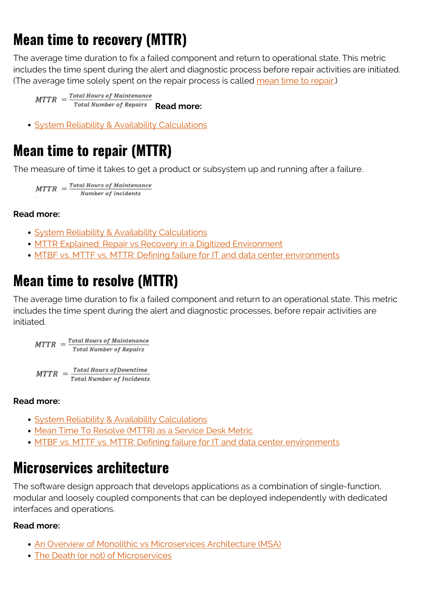## **Mean time to recovery (MTTR)**

The average time duration to fix a failed component and return to operational state. This metric includes the time spent during the alert and diagnostic process before repair activities are initiated. (The average time solely spent on the repair process is called [mean time to repair.](#page--1-0))

 $MTTR = \frac{Total \, Hours\ of \, Maintenance}{Total \, Number \, of \, Repairs}$  **Read more:** 

**• [System Reliability & Availability Calculations](https://blogs.bmc.com/blogs/system-reliability-availability-calculations/)** 

## **Mean time to repair (MTTR)**

The measure of time it takes to get a product or subsystem up and running after a failure.

 $MTTR = \frac{Total Hours of Maintenance}{Number of incidence}$ Number of incidents

#### **Read more:**

- [System Reliability & Availability Calculations](https://blogs.bmc.com/blogs/system-reliability-availability-calculations/)
- [MTTR Explained: Repair vs Recovery in a Digitized Environment](https://blogs.bmc.com/blogs/mttr-explained-repair-vs-recovery-in-a-digitized-environment/)
- [MTBF vs. MTTF vs. MTTR: Defining failure for IT and data center environments](https://blogs.bmc.com/blogs/mtbf-vs-mtff-vs-mttr-whats-difference/)

## **Mean time to resolve (MTTR)**

The average time duration to fix a failed component and return to an operational state. This metric includes the time spent during the alert and diagnostic processes, before repair activities are initiated.

 $\textit{MTTR} \,\, = \frac{\textit{Total Hours of Maintenance}}{\textit{Total Number of Repairs}}$ 

 $MTTR = \frac{Total \, Hours \, of \, Down time}{Total \, Number \, of \, Incidents}$ 

### **Read more:**

- **[System Reliability & Availability Calculations](https://blogs.bmc.com/blogs/system-reliability-availability-calculations/)**
- [Mean Time To Resolve \(MTTR\) as a Service Desk Metric](https://blogs.bmc.com/blogs/mttr-mean-time-to-resolve/)
- [MTBF vs. MTTF vs. MTTR: Defining failure for IT and data center environments](https://blogs.bmc.com/blogs/mtbf-vs-mtff-vs-mttr-whats-difference/)

## **Microservices architecture**

The software design approach that develops applications as a combination of single-function, modular and loosely coupled components that can be deployed independently with dedicated interfaces and operations.

- [An Overview of Monolithic vs Microservices Architecture \(MSA\)](https://blogs.bmc.com/blogs/microservices-architecture/)
- [The Death \(or not\) of Microservices](https://blogs.bmc.com/blogs/death-of-microservices/)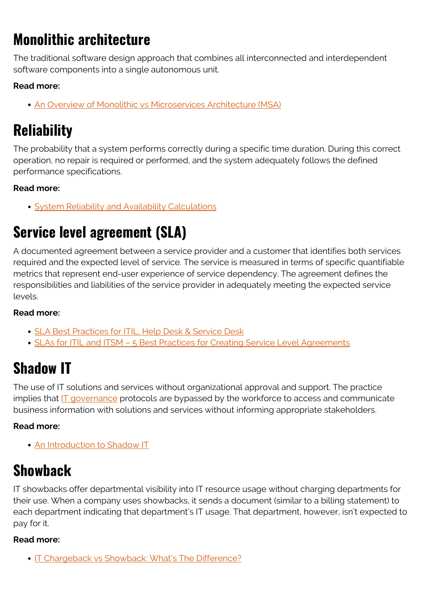## **Monolithic architecture**

The traditional software design approach that combines all interconnected and interdependent software components into a single autonomous unit.

### **Read more:**

[An Overview of Monolithic vs Microservices Architecture \(MSA\)](https://blogs.bmc.com/blogs/microservices-architecture/)

## **Reliability**

The probability that a system performs correctly during a specific time duration. During this correct operation, no repair is required or performed, and the system adequately follows the defined performance specifications.

### **Read more:**

[System Reliability and Availability Calculations](https://blogs.bmc.com/blogs/system-reliability-availability-calculations/)

## **Service level agreement (SLA)**

A documented agreement between a service provider and a customer that identifies both services required and the expected level of service. The service is measured in terms of specific quantifiable metrics that represent end-user experience of service dependency. The agreement defines the responsibilities and liabilities of the service provider in adequately meeting the expected service levels.

### **Read more:**

- [SLA Best Practices for ITIL, Help Desk & Service Desk](https://blogs.bmc.com/blogs/sla-best-practices/)
- SLAs for ITIL and ITSM 5 Best Practices for Creating Service Level Agreements

## **Shadow IT**

The use of IT solutions and services without organizational approval and support. The practice implies that  $IT$  governance protocols are bypassed by the workforce to access and communicate business information with solutions and services without informing appropriate stakeholders.

### **Read more:**

• [An Introduction to Shadow IT](https://blogs.bmc.com/blogs/shadow-it/)

## **Showback**

IT showbacks offer departmental visibility into IT resource usage without charging departments for their use. When a company uses showbacks, it sends a document (similar to a billing statement) to each department indicating that department's IT usage. That department, however, isn't expected to pay for it.

### **Read more:**

• [IT Chargeback vs Showback: What's The Difference?](https://www.bmc.com/blogs/chargeback-vs-showback/)